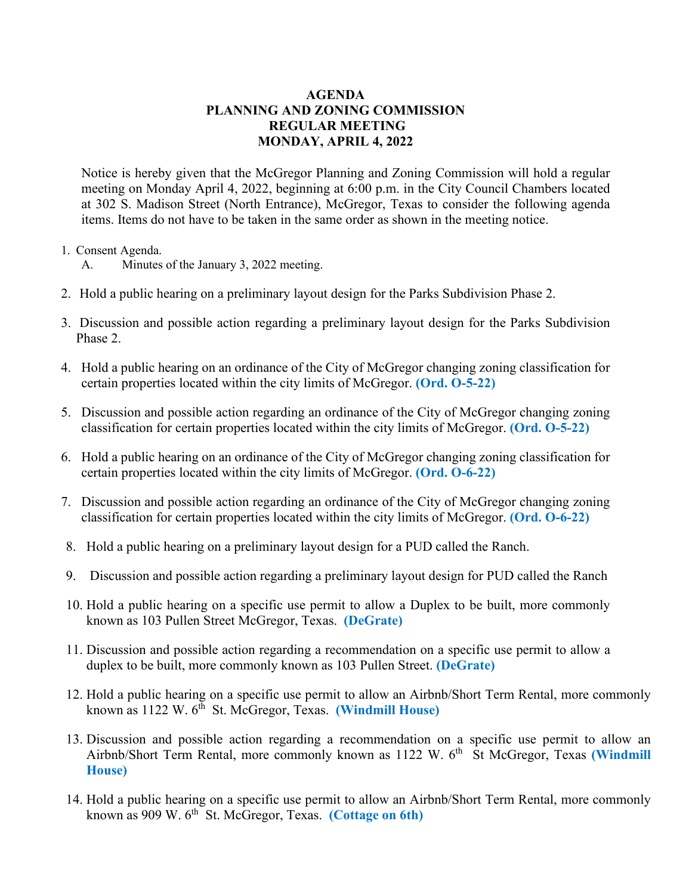## **AGENDA PLANNING AND ZONING COMMISSION REGULAR MEETING MONDAY, APRIL 4, 2022**

 Notice is hereby given that the McGregor Planning and Zoning Commission will hold a regular meeting on Monday April 4, 2022, beginning at 6:00 p.m. in the City Council Chambers located at 302 S. Madison Street (North Entrance), McGregor, Texas to consider the following agenda items. Items do not have to be taken in the same order as shown in the meeting notice.

- 1. Consent Agenda.
	- A. Minutes of the January 3, 2022 meeting.
- 2. Hold a public hearing on a preliminary layout design for the Parks Subdivision Phase 2.
- 3. Discussion and possible action regarding a preliminary layout design for the Parks Subdivision Phase 2.
- 4. Hold a public hearing on an ordinance of the City of McGregor changing zoning classification for certain properties located within the city limits of McGregor. **(Ord. O-5-22)**
- 5. Discussion and possible action regarding an ordinance of the City of McGregor changing zoning classification for certain properties located within the city limits of McGregor. **(Ord. O-5-22)**
- 6. Hold a public hearing on an ordinance of the City of McGregor changing zoning classification for certain properties located within the city limits of McGregor. **(Ord. O-6-22)**
- 7. Discussion and possible action regarding an ordinance of the City of McGregor changing zoning classification for certain properties located within the city limits of McGregor. **(Ord. O-6-22)**
- 8. Hold a public hearing on a preliminary layout design for a PUD called the Ranch.
- 9. Discussion and possible action regarding a preliminary layout design for PUD called the Ranch
- 10. Hold a public hearing on a specific use permit to allow a Duplex to be built, more commonly known as 103 Pullen Street McGregor, Texas. **(DeGrate)**
- 11. Discussion and possible action regarding a recommendation on a specific use permit to allow a duplex to be built, more commonly known as 103 Pullen Street. **(DeGrate)**
- 12. Hold a public hearing on a specific use permit to allow an Airbnb/Short Term Rental, more commonly known as 1122 W. 6th St. McGregor, Texas. **(Windmill House)**
- 13. Discussion and possible action regarding a recommendation on a specific use permit to allow an Airbnb/Short Term Rental, more commonly known as 1122 W. 6<sup>th</sup> St McGregor, Texas **(Windmill House)**
- 14. Hold a public hearing on a specific use permit to allow an Airbnb/Short Term Rental, more commonly known as 909 W. 6th St. McGregor, Texas. **(Cottage on 6th)**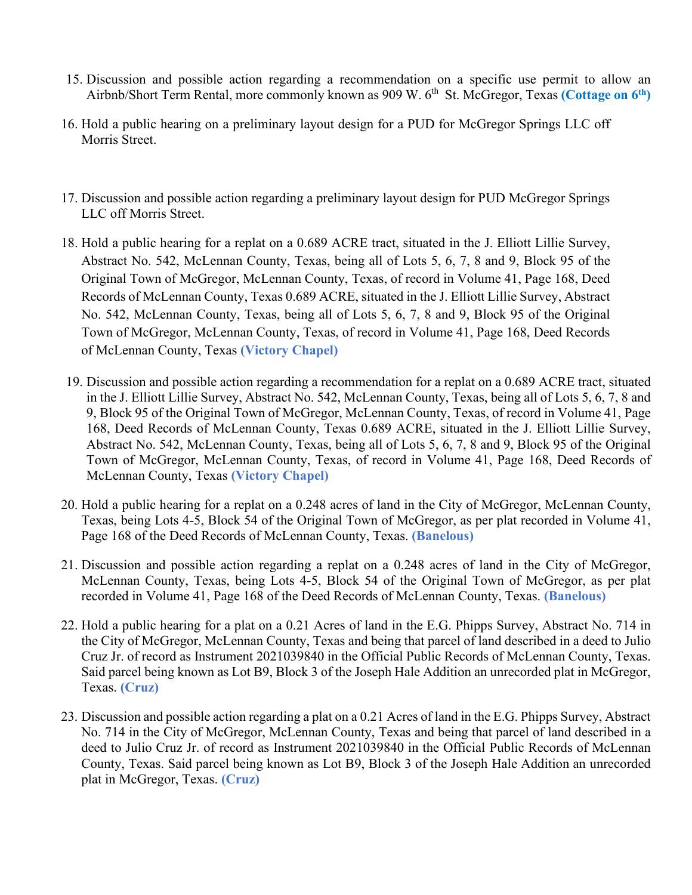- 15. Discussion and possible action regarding a recommendation on a specific use permit to allow an Airbnb/Short Term Rental, more commonly known as 909 W. 6<sup>th</sup> St. McGregor, Texas **(Cottage on 6<sup>th</sup>)**
- 16. Hold a public hearing on a preliminary layout design for a PUD for McGregor Springs LLC off Morris Street.
- 17. Discussion and possible action regarding a preliminary layout design for PUD McGregor Springs LLC off Morris Street.
- 18. Hold a public hearing for a replat on a 0.689 ACRE tract, situated in the J. Elliott Lillie Survey, Abstract No. 542, McLennan County, Texas, being all of Lots 5, 6, 7, 8 and 9, Block 95 of the Original Town of McGregor, McLennan County, Texas, of record in Volume 41, Page 168, Deed Records of McLennan County, Texas 0.689 ACRE, situated in the J. Elliott Lillie Survey, Abstract No. 542, McLennan County, Texas, being all of Lots 5, 6, 7, 8 and 9, Block 95 of the Original Town of McGregor, McLennan County, Texas, of record in Volume 41, Page 168, Deed Records of McLennan County, Texas **(Victory Chapel)**
- 19. Discussion and possible action regarding a recommendation for a replat on a 0.689 ACRE tract, situated in the J. Elliott Lillie Survey, Abstract No. 542, McLennan County, Texas, being all of Lots 5, 6, 7, 8 and 9, Block 95 of the Original Town of McGregor, McLennan County, Texas, of record in Volume 41, Page 168, Deed Records of McLennan County, Texas 0.689 ACRE, situated in the J. Elliott Lillie Survey, Abstract No. 542, McLennan County, Texas, being all of Lots 5, 6, 7, 8 and 9, Block 95 of the Original Town of McGregor, McLennan County, Texas, of record in Volume 41, Page 168, Deed Records of McLennan County, Texas **(Victory Chapel)**
- 20. Hold a public hearing for a replat on a 0.248 acres of land in the City of McGregor, McLennan County, Texas, being Lots 4-5, Block 54 of the Original Town of McGregor, as per plat recorded in Volume 41, Page 168 of the Deed Records of McLennan County, Texas. **(Banelous)**
- 21. Discussion and possible action regarding a replat on a 0.248 acres of land in the City of McGregor, McLennan County, Texas, being Lots 4-5, Block 54 of the Original Town of McGregor, as per plat recorded in Volume 41, Page 168 of the Deed Records of McLennan County, Texas. **(Banelous)**
- 22. Hold a public hearing for a plat on a 0.21 Acres of land in the E.G. Phipps Survey, Abstract No. 714 in the City of McGregor, McLennan County, Texas and being that parcel of land described in a deed to Julio Cruz Jr. of record as Instrument 2021039840 in the Official Public Records of McLennan County, Texas. Said parcel being known as Lot B9, Block 3 of the Joseph Hale Addition an unrecorded plat in McGregor, Texas. **(Cruz)**
- 23. Discussion and possible action regarding a plat on a 0.21 Acres of land in the E.G. Phipps Survey, Abstract No. 714 in the City of McGregor, McLennan County, Texas and being that parcel of land described in a deed to Julio Cruz Jr. of record as Instrument 2021039840 in the Official Public Records of McLennan County, Texas. Said parcel being known as Lot B9, Block 3 of the Joseph Hale Addition an unrecorded plat in McGregor, Texas. **(Cruz)**